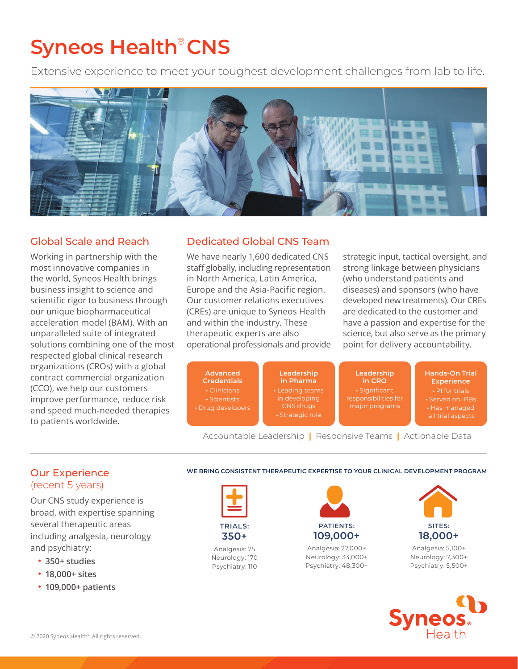# **Syneos Health**®  **CNS**

Extensive experience to meet your toughest development challenges from lab to life.



## Global Scale and Reach

Working in partnership with the most innovative companies in the world, Syneos Health brings business insight to science and scientific rigor to business through our unique biopharmaceutical acceleration model (BAM). With an unparalleled suite of integrated solutions combining one of the most respected global clinical research organizations (CROs) with a global contract commercial organization (CCO), we help our customers improve performance, reduce risk and speed much-needed therapies to patients worldwide.

## Dedicated Global CNS Team

We have nearly 1,600 dedicated CNS staff globally, including representation in North America, Latin America, Europe and the Asia-Pacific region. Our customer relations executives (CREs) are unique to Syneos Health and within the industry. These therapeutic experts are also operational professionals and provide strategic input, tactical oversight, and strong linkage between physicians (who understand patients and diseases) and sponsors (who have developed new treatments). Our CREs are dedicated to the customer and have a passion and expertise for the science, but also serve as the primary point for delivery accountability.



Accountable Leadership **|** Responsive Teams **|** Actionable Data

### Our Experience (recent 5 years)

Our CNS study experience is broad, with expertise spanning several therapeutic areas including analgesia, neurology and psychiatry:

- **• 350+ studies**
- **• 18,000+ sites**
- **• 109,000+ patients**

**WE BRING CONSISTENT THERAPEUTIC EXPERTISE TO YOUR CLINICAL DEVELOPMENT PROGRAM**



**350+**

Analgesia: 75 Neurology: 170 Psychiatry: 110



Analgesia: 27,000+ Neurology: 33,000+ Psychiatry: 48,300+



Analgesia: 5,100+ Neurology: 7,300+ Psychiatry: 5,500+